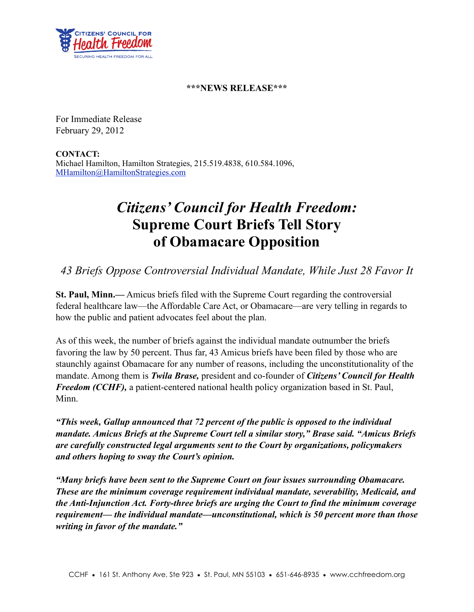

## **\*\*\*NEWS RELEASE\*\*\***

For Immediate Release February 29, 2012

**CONTACT:** Michael Hamilton, Hamilton Strategies, 215.519.4838, 610.584.1096, [MHamilton@HamiltonStrategies.com](mailto:MHamilton@HamiltonStrategies.com)

## *Citizens' Council for Health Freedom:* **Supreme Court Briefs Tell Story of Obamacare Opposition**

*43 Briefs Oppose Controversial Individual Mandate, While Just 28 Favor It*

**St. Paul, Minn.—** Amicus briefs filed with the Supreme Court regarding the controversial federal healthcare law—the Affordable Care Act, or Obamacare—are very telling in regards to how the public and patient advocates feel about the plan.

As of this week, the number of briefs against the individual mandate outnumber the briefs favoring the law by 50 percent. Thus far, 43 Amicus briefs have been filed by those who are staunchly against Obamacare for any number of reasons, including the unconstitutionality of the mandate. Among them is *Twila Brase,* president and co-founder of *Citizens' Council for Health Freedom (CCHF)*, a patient-centered national health policy organization based in St. Paul, Minn.

*"This week, Gallup announced that 72 percent of the public is opposed to the individual mandate. Amicus Briefs at the Supreme Court tell a similar story," Brase said. "Amicus Briefs are carefully constructed legal arguments sent to the Court by organizations, policymakers and others hoping to sway the Court's opinion.*

*"Many briefs have been sent to the Supreme Court on four issues surrounding Obamacare. These are the minimum coverage requirement individual mandate, severability, Medicaid, and the Anti-Injunction Act. Forty-three briefs are urging the Court to find the minimum coverage requirement— the individual mandate—unconstitutional, which is 50 percent more than those writing in favor of the mandate."*